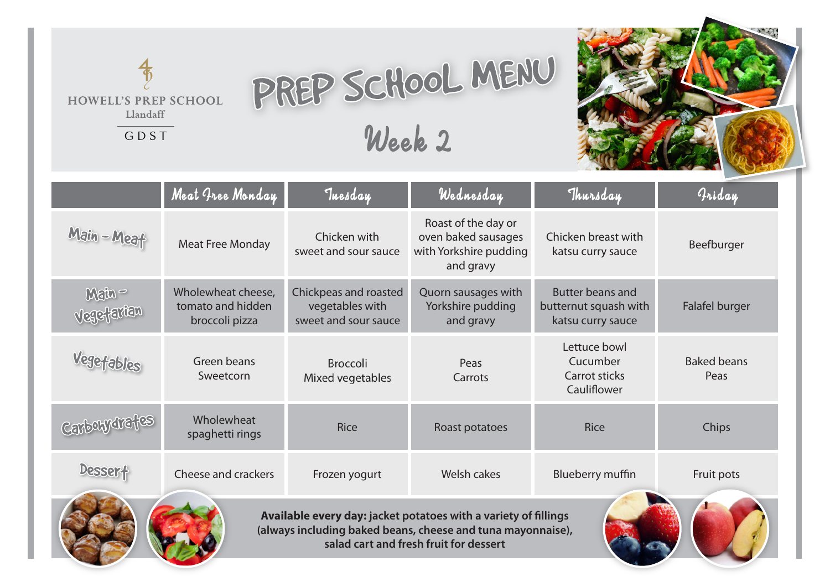## PREP SCHOOL MENU Week 2

**HOWELL'S PREP SCHOOL** Llandaff

GDST



|                                                                                                                                                                          | Meat Free Monday                                          | Tuesday                                                          | Wednesday                                                                         | Thursday                                                              | Griday                     |  |  |  |
|--------------------------------------------------------------------------------------------------------------------------------------------------------------------------|-----------------------------------------------------------|------------------------------------------------------------------|-----------------------------------------------------------------------------------|-----------------------------------------------------------------------|----------------------------|--|--|--|
| Main - Meat                                                                                                                                                              | <b>Meat Free Monday</b>                                   | Chicken with<br>sweet and sour sauce                             | Roast of the day or<br>oven baked sausages<br>with Yorkshire pudding<br>and gravy | Chicken breast with<br>katsu curry sauce                              | Beefburger                 |  |  |  |
| Main-<br>Vegefarian                                                                                                                                                      | Wholewheat cheese,<br>tomato and hidden<br>broccoli pizza | Chickpeas and roasted<br>vegetables with<br>sweet and sour sauce | Quorn sausages with<br>Yorkshire pudding<br>and gravy                             | <b>Butter beans and</b><br>butternut squash with<br>katsu curry sauce | Falafel burger             |  |  |  |
| Vegetables                                                                                                                                                               | Green beans<br>Sweetcorn                                  | Broccoli<br>Mixed vegetables                                     | Peas<br>Carrots                                                                   | Lettuce bowl<br>Cucumber<br><b>Carrot sticks</b><br>Cauliflower       | <b>Baked beans</b><br>Peas |  |  |  |
| Carbony trafes                                                                                                                                                           | Wholewheat<br>spaghetti rings                             | <b>Rice</b>                                                      | Roast potatoes                                                                    | <b>Rice</b>                                                           | Chips                      |  |  |  |
| <b>Dessert</b>                                                                                                                                                           | Cheese and crackers                                       | Frozen yogurt                                                    | Welsh cakes                                                                       | Blueberry muffin                                                      | Fruit pots                 |  |  |  |
| Available every day: jacket potatoes with a variety of fillings<br>(always including baked beans, cheese and tuna mayonnaise),<br>salad cart and fresh fruit for dessert |                                                           |                                                                  |                                                                                   |                                                                       |                            |  |  |  |